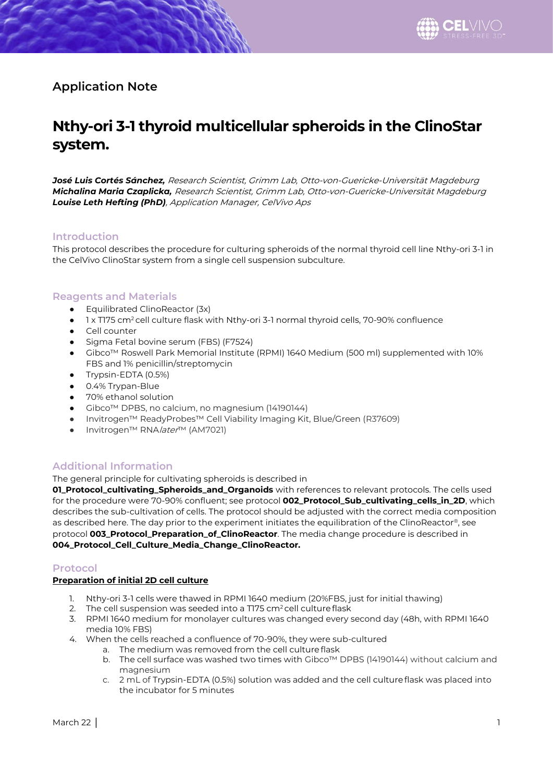# **Application Note**

# **Nthy-ori 3-1 thyroid multicellular spheroids in the ClinoStar system.**

*José Luis Cortés Sánchez,* Research Scientist, Grimm Lab, Otto-von-Guericke-Universität Magdeburg *Michalina Maria Czaplicka,* Research Scientist, Grimm Lab, Otto-von-Guericke-Universität Magdeburg *Louise Leth Hefting (PhD)*, Application Manager, CelVivo Aps

# **Introduction**

This protocol describes the procedure for culturing spheroids of the normal thyroid cell line Nthy-ori 3-1 in the CelVivo ClinoStar system from a single cell suspension subculture.

# **Reagents and Materials**

- Equilibrated ClinoReactor (3x)
- 1 x T175 cm<sup>2</sup> cell culture flask with Nthy-ori 3-1 normal thyroid cells, 70-90% confluence
- Cell counter
- Sigma Fetal bovine serum (FBS) (F7524)
- Gibco™ Roswell Park Memorial Institute (RPMI) 1640 Medium (500 ml) supplemented with 10% FBS and 1% penicillin/streptomycin
- Trypsin-EDTA (0.5%)
- 0.4% Trypan-Blue
- 70% ethanol solution
- Gibco™ DPBS, no calcium, no magnesium (14190144)
- Invitrogen™ ReadyProbes™ Cell Viability Imaging Kit, Blue/Green (R37609)
- Invitrogen™ RNA*later*™ (AM7021)

# **Additional Information**

The general principle for cultivating spheroids is described in

**01\_Protocol\_cultivating\_Spheroids\_and\_Organoids** with references to relevant protocols. The cells used for the procedure were 70-90% confluent; see protocol **002\_Protocol\_Sub\_cultivating\_cells\_in\_2D**, which describes the sub-cultivation of cells. The protocol should be adjusted with the correct media composition as described here. The day prior to the experiment initiates the equilibration of the ClinoReactor®, see protocol **003\_Protocol\_Preparation\_of\_ClinoReactor**. The media change procedure is described in **004\_Protocol\_Cell\_Culture\_Media\_Change\_ClinoReactor.**

# **Protocol**

#### **Preparation of initial 2D cell culture**

- 1. Nthy-ori 3-1 cells were thawed in RPMI 1640 medium (20%FBS, just for initial thawing)
- 2. The cell suspension was seeded into a T175 cm<sup>2</sup> cell culture flask
- 3. RPMI 1640 medium for monolayer cultures was changed every second day (48h, with RPMI 1640 media 10% FBS)
- 4. When the cells reached a confluence of 70-90%, they were sub-cultured
	- a. The medium was removed from the cell culture flask
	- b. The cell surface was washed two times with Gibco™ DPBS (14190144) without calcium and magnesium
	- c. 2 mL of Trypsin-EDTA (0.5%) solution was added and the cell culture flask was placed into the incubator for 5 minutes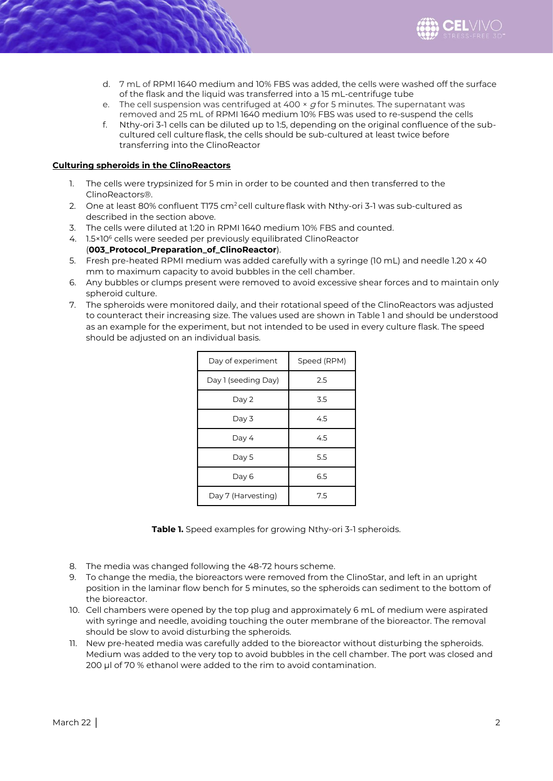

- d. 7 mL of RPMI 1640 medium and 10% FBS was added, the cells were washed off the surface of the flask and the liquid was transferred into a 15 mL-centrifuge tube
- e. The cell suspension was centrifuged at  $400 \times g$  for 5 minutes. The supernatant was removed and 25 mL of RPMI 1640 medium 10% FBS was used to re-suspend the cells
- f. Nthy-ori 3-1 cells can be diluted up to 1:5, depending on the original confluence of the subcultured cell culture flask, the cells should be sub-cultured at least twice before transferring into the ClinoReactor

#### **Culturing spheroids in the ClinoReactors**

- 1. The cells were trypsinized for 5 min in order to be counted and then transferred to the ClinoReactors®.
- 2. One at least 80% confluent T175 cm<sup>2</sup> cell culture flask with Nthy-ori 3-1 was sub-cultured as described in the section above.
- 3. The cells were diluted at 1:20 in RPMI 1640 medium 10% FBS and counted.
- 4. 1.5×10<sup>6</sup> cells were seeded per previously equilibrated ClinoReactor
- (**003\_Protocol\_Preparation\_of\_ClinoReactor**). 5. Fresh pre-heated RPMI medium was added carefully with a syringe (10 mL) and needle 1.20 x 40 mm to maximum capacity to avoid bubbles in the cell chamber.
- 6. Any bubbles or clumps present were removed to avoid excessive shear forces and to maintain only spheroid culture.
- 7. The spheroids were monitored daily, and their rotational speed of the ClinoReactors was adjusted to counteract their increasing size. The values used are shown in Table 1 and should be understood as an example for the experiment, but not intended to be used in every culture flask. The speed should be adjusted on an individual basis.

| Day of experiment   | Speed (RPM) |
|---------------------|-------------|
| Day 1 (seeding Day) | 2.5         |
| Day 2               | 3.5         |
| Day 3               | 4.5         |
| Day 4               | 4.5         |
| Day 5               | 5.5         |
| Day 6               | 6.5         |
| Day 7 (Harvesting)  | 7.5         |

**Table 1.** Speed examples for growing Nthy-ori 3-1 spheroids.

- 8. The media was changed following the 48-72 hours scheme.
- 9. To change the media, the bioreactors were removed from the ClinoStar, and left in an upright position in the laminar flow bench for 5 minutes, so the spheroids can sediment to the bottom of the bioreactor.
- 10. Cell chambers were opened by the top plug and approximately 6 mL of medium were aspirated with syringe and needle, avoiding touching the outer membrane of the bioreactor. The removal should be slow to avoid disturbing the spheroids.
- 11. New pre-heated media was carefully added to the bioreactor without disturbing the spheroids. Medium was added to the very top to avoid bubbles in the cell chamber. The port was closed and 200 µl of 70 % ethanol were added to the rim to avoid contamination.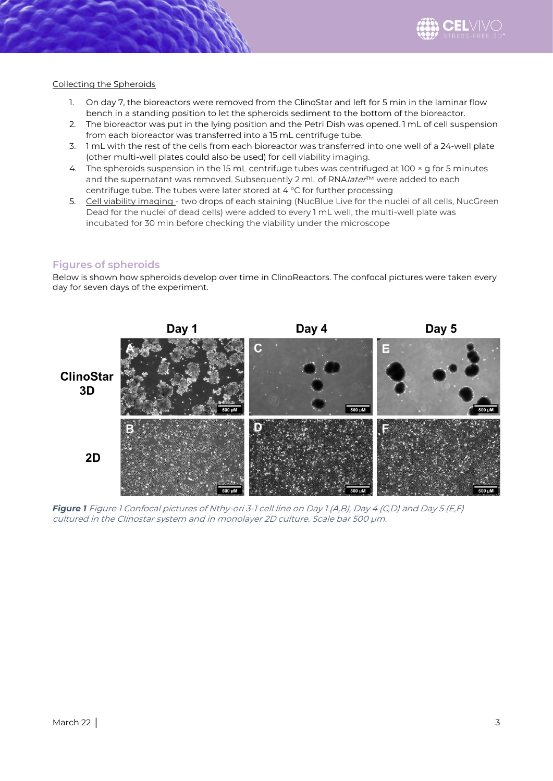

#### Collecting the Spheroids

- 1. On day 7, the bioreactors were removed from the ClinoStar and left for 5 min in the laminar flow bench in a standing position to let the spheroids sediment to the bottom of the bioreactor.
- 2. The bioreactor was put in the lying position and the Petri Dish was opened. 1 mL of cell suspension from each bioreactor was transferred into a 15 mL centrifuge tube.
- 3. 1 mL with the rest of the cells from each bioreactor was transferred into one well of a 24-well plate (other multi-well plates could also be used) for cell viability imaging.
- 4. The spheroids suspension in the 15 mL centrifuge tubes was centrifuged at 100 × g for 5 minutes and the supernatant was removed. Subsequently 2 mL of RNA/ater™ were added to each centrifuge tube. The tubes were later stored at 4 °C for further processing
- 5. Cell viability imaging two drops of each staining (NucBlue Live for the nuclei of all cells, NucGreen Dead for the nuclei of dead cells) were added to every 1 mL well, the multi-well plate was incubated for 30 min before checking the viability under the microscope

# **Figures of spheroids**

Below is shown how spheroids develop over time in ClinoReactors. The confocal pictures were taken every day for seven days of the experiment.



*Figure 1* Figure 1 Confocal pictures of Nthy-ori 3-1 cell line on Day 1 (A,B), Day 4 (C,D) and Day 5 (E,F) cultured in the Clinostar system and in monolayer 2D culture. Scale bar 500 µm.